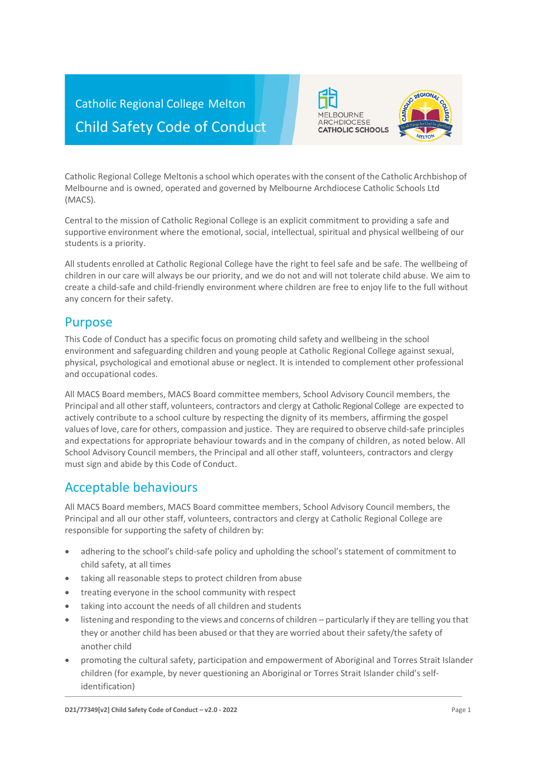



Central to the mission of Catholic Regional College is an explicit commitment to providing a safe and supportive environment where the emotional, social, intellectual, spiritual and physical wellbeing of our students is a priority.

All students enrolled at Catholic Regional College have the right to feel safe and be safe. The wellbeing of children in our care will always be our priority, and we do not and will not tolerate child abuse. We aim to create a child-safe and child-friendly environment where children are free to enjoy life to the full without any concern for their safety.

### Purpose

This Code of Conduct has a specific focus on promoting child safety and wellbeing in the school environment and safeguarding children and young people at Catholic Regional College against sexual, physical, psychological and emotional abuse or neglect. It is intended to complement other professional and occupational codes.

All MACS Board members, MACS Board committee members, School Advisory Council members, the Principal and all other staff, volunteers, contractors and clergy at Catholic Regional College are expected to actively contribute to a school culture by respecting the dignity of its members, affirming the gospel values of love, care for others, compassion and justice. They are required to observe child-safe principles and expectations for appropriate behaviour towards and in the company of children, as noted below. All School Advisory Council members, the Principal and all other staff, volunteers, contractors and clergy must sign and abide by this Code of Conduct.

## Acceptable behaviours

All MACS Board members, MACS Board committee members, School Advisory Council members, the Principal and all our other staff, volunteers, contractors and clergy at Catholic Regional College are responsible for supporting the safety of children by:

- adhering to the school's child-safe policy and upholding the school's statement of commitment to child safety, at all times
- taking all reasonable steps to protect children from abuse
- treating everyone in the school community with respect
- taking into account the needs of all children and students
- listening and responding to the views and concerns of children particularly if they are telling you that they or another child has been abused or that they are worried about their safety/the safety of another child
- promoting the cultural safety, participation and empowerment of Aboriginal and Torres Strait Islander children (for example, by never questioning an Aboriginal or Torres Strait Islander child's selfidentification)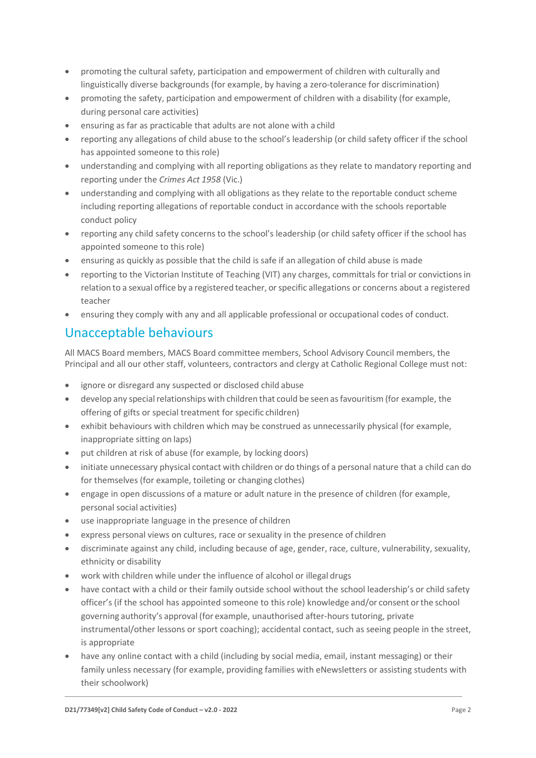- promoting the cultural safety, participation and empowerment of children with culturally and linguistically diverse backgrounds (for example, by having a zero-tolerance for discrimination)
- promoting the safety, participation and empowerment of children with a disability (for example, during personal care activities)
- ensuring as far as practicable that adults are not alone with a child
- reporting any allegations of child abuse to the school's leadership (or child safety officer if the school has appointed someone to thisrole)
- understanding and complying with all reporting obligations as they relate to mandatory reporting and reporting under the *Crimes Act 1958* (Vic.)
- understanding and complying with all obligations as they relate to the reportable conduct scheme including reporting allegations of reportable conduct in accordance with the schools reportable conduct policy
- reporting any child safety concerns to the school's leadership (or child safety officer if the school has appointed someone to this role)
- ensuring as quickly as possible that the child is safe if an allegation of child abuse is made
- reporting to the Victorian Institute of Teaching (VIT) any charges, committals for trial or convictionsin relation to a sexual office by a registered teacher, or specific allegations or concerns about a registered teacher
- ensuring they comply with any and all applicable professional or occupational codes of conduct.

# Unacceptable behaviours

All MACS Board members, MACS Board committee members, School Advisory Council members, the Principal and all our other staff, volunteers, contractors and clergy at Catholic Regional College must not:

- ignore or disregard any suspected or disclosed child abuse
- develop any special relationships with children that could be seen as favouritism (for example, the offering of gifts or special treatment for specific children)
- exhibit behaviours with children which may be construed as unnecessarily physical (for example, inappropriate sitting on laps)
- put children at risk of abuse (for example, by locking doors)
- initiate unnecessary physical contact with children or do things of a personal nature that a child can do for themselves (for example, toileting or changing clothes)
- engage in open discussions of a mature or adult nature in the presence of children (for example, personal social activities)
- use inappropriate language in the presence of children
- express personal views on cultures, race or sexuality in the presence of children
- discriminate against any child, including because of age, gender, race, culture, vulnerability, sexuality, ethnicity or disability
- work with children while under the influence of alcohol or illegal drugs
- have contact with a child or their family outside school without the school leadership's or child safety officer's (if the school has appointed someone to this role) knowledge and/or consent orthe school governing authority's approval (for example, unauthorised after-hours tutoring, private instrumental/other lessons or sport coaching); accidental contact, such as seeing people in the street, is appropriate
- have any online contact with a child (including by social media, email, instant messaging) or their family unless necessary (for example, providing families with eNewsletters or assisting students with their schoolwork)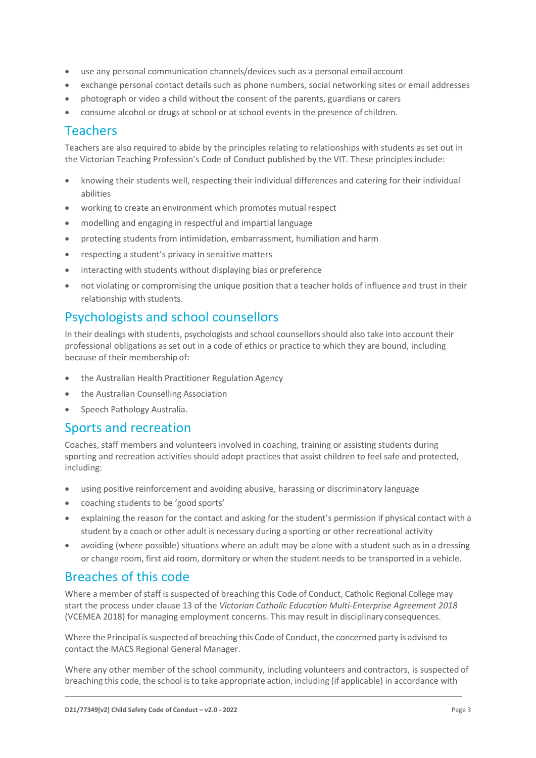- use any personal communication channels/devices such as a personal email account
- exchange personal contact details such as phone numbers, social networking sites or email addresses
- photograph or video a child without the consent of the parents, guardians or carers
- consume alcohol or drugs at school or at school events in the presence of children.

## **Teachers**

Teachers are also required to abide by the principles relating to relationships with students as set out in the Victorian Teaching Profession's Code of Conduct published by the VIT. These principles include:

- knowing their students well, respecting their individual differences and catering for their individual abilities
- working to create an environment which promotes mutual respect
- modelling and engaging in respectful and impartial language
- protecting students from intimidation, embarrassment, humiliation and harm
- respecting a student's privacy in sensitive matters
- interacting with students without displaying bias or preference
- not violating or compromising the unique position that a teacher holds of influence and trust in their relationship with students.

## Psychologists and school counsellors

In their dealings with students, psychologists and school counsellorsshould also take into account their professional obligations as set out in a code of ethics or practice to which they are bound, including because of their membership of:

- the Australian Health Practitioner Regulation Agency
- the Australian Counselling Association
- Speech Pathology Australia.

### Sports and recreation

Coaches, staff members and volunteers involved in coaching, training or assisting students during sporting and recreation activities should adopt practices that assist children to feel safe and protected, including:

- using positive reinforcement and avoiding abusive, harassing or discriminatory language
- coaching students to be 'good sports'
- explaining the reason for the contact and asking for the student's permission if physical contact with a student by a coach or other adult is necessary during a sporting or other recreational activity
- avoiding (where possible) situations where an adult may be alone with a student such as in a dressing or change room, first aid room, dormitory or when the student needsto be transported in a vehicle.

## Breaches of this code

Where a member of staff is suspected of breaching this Code of Conduct, Catholic Regional College may start the process under clause 13 of the *Victorian Catholic Education Multi-Enterprise Agreement 2018*  (VCEMEA 2018) for managing employment concerns. This may result in disciplinaryconsequences.

Where the Principal is suspected of breaching this Code of Conduct, the concerned party is advised to contact the MACS Regional General Manager.

Where any other member of the school community, including volunteers and contractors, is suspected of breaching this code, the school isto take appropriate action, including (if applicable) in accordance with